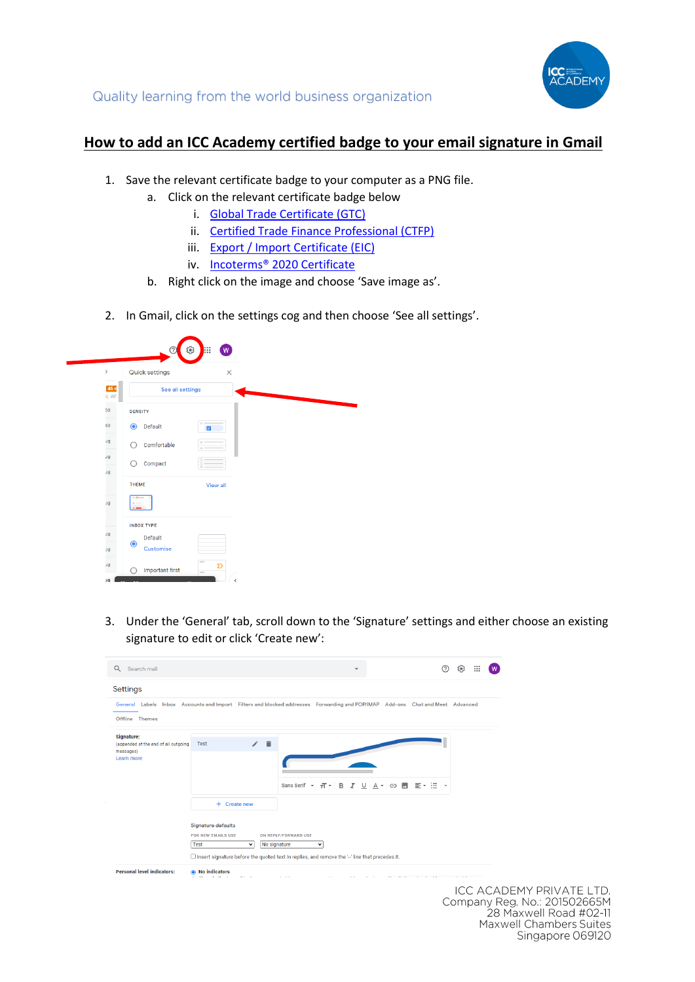

## **How to add an ICC Academy certified badge to your email signature in Gmail**

- 1. Save the relevant certificate badge to your computer as a PNG file.
	- a. Click on the relevant certificate badge below
		- i. [Global Trade Certificate \(GTC\)](https://icc.academy/wp-content/uploads/2020/08/ICC-Email-Badges-GTC.png)
		- ii. [Certified Trade Finance Professional \(CTFP\)](https://icc.academy/wp-content/uploads/2020/08/ICC-Email-Badges-CTFP.png)
		- iii. [Export / Import Certificate \(EIC\)](https://icc.academy/wp-content/uploads/2020/08/ICC-Email-Badges-EIC.png)
		- iv. [Incoterms® 2020 Certificate](https://icc.academy/wp-content/uploads/2020/08/ICC-Email-Badges-INCO.png)
		- b. Right click on the image and choose 'Save image as'.
- 2. In Gmail, click on the settings cog and then choose 'See all settings'.

|                | ⊚                            | ලා<br>E<br>W                                   |
|----------------|------------------------------|------------------------------------------------|
| $\,$           | Quick settings               | $\times$                                       |
| 46 n<br>c, Wh  | See all settings             |                                                |
| 50<br>÷        | <b>DENSITY</b>               |                                                |
| 40<br>÷        | $\bullet$<br>Default         | $\Box$<br>目                                    |
| <b>DL</b><br>÷ | Comfortable<br>Ω             | $\alpha$ =<br>$0 =$                            |
| Jg<br>÷        | Compact<br>O                 | $\Box =$<br>$\Box$<br>$\overline{0}$           |
| Jg             | THEME                        | <b>View all</b>                                |
| ۰<br><b>DL</b> | II M Grai                    |                                                |
|                |                              |                                                |
| υū             | <b>INBOX TYPE</b><br>Default |                                                |
| ۰<br>DL.<br>╾  | $\bullet$<br>Customise       |                                                |
| Jg             | <b>Important first</b><br>∩  | $=$<br>$\mathbf D$<br>$\overline{\phantom{m}}$ |
| pL             |                              | $\overline{\phantom{a}}$                       |

3. Under the 'General' tab, scroll down to the 'Signature' settings and either choose an existing signature to edit or click 'Create new':

| Q<br>Search mail                                                              |                                                                                                                              |                                                                                                                               | 7                                                                      | $\mathbf{}$<br>છ          |  |
|-------------------------------------------------------------------------------|------------------------------------------------------------------------------------------------------------------------------|-------------------------------------------------------------------------------------------------------------------------------|------------------------------------------------------------------------|---------------------------|--|
| Settings                                                                      |                                                                                                                              |                                                                                                                               |                                                                        |                           |  |
| Offline Themes                                                                |                                                                                                                              | General Labels Inbox Accounts and Import Filters and blocked addresses Forwarding and POP/IMAP Add-ons Chat and Meet Advanced |                                                                        |                           |  |
| Signature:<br>(appended at the end of all outgoing<br>messages)<br>Learn more | 宣<br>$\mathcal{L}$<br>Test<br>+ Create new<br>Signature defaults<br><b>FOR NEW EMAILS USE</b><br><b>Test</b><br>$\checkmark$ | Sans Serif $\arrow$ $\pi$<br>в<br>Ι<br>U<br>ON REPLY/FORWARD USE<br>No signature<br>$\check{ }$                               | © M E* }E<br>A<br>$\overline{\phantom{a}}$<br>$\overline{\phantom{a}}$ |                           |  |
|                                                                               |                                                                                                                              | $\Box$ Insert signature before the quoted text in replies, and remove the '--' line that precedes it.                         |                                                                        |                           |  |
| <b>Personal level indicators:</b>                                             | <b>No indicators</b>                                                                                                         |                                                                                                                               |                                                                        |                           |  |
|                                                                               |                                                                                                                              |                                                                                                                               |                                                                        | ICC ACADEMY PRIV <i>L</i> |  |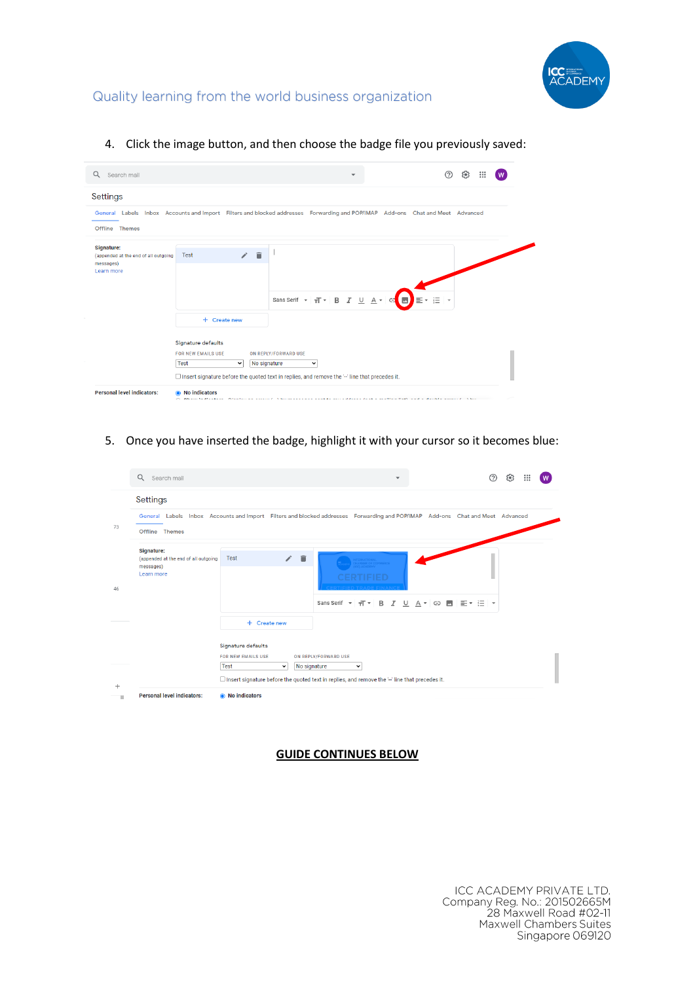

## Quality learning from the world business organization

4. Click the image button, and then choose the badge file you previously saved:

| Search mail<br>Q                                                                     |                                                                                                                                           |                                                                                                                                                                                                                                        | 50)<br>                                                                |
|--------------------------------------------------------------------------------------|-------------------------------------------------------------------------------------------------------------------------------------------|----------------------------------------------------------------------------------------------------------------------------------------------------------------------------------------------------------------------------------------|------------------------------------------------------------------------|
| Settings                                                                             |                                                                                                                                           |                                                                                                                                                                                                                                        |                                                                        |
| Offline Themes                                                                       |                                                                                                                                           | General Labels Inbox Accounts and Import Filters and blocked addresses Forwarding and POP/IMAP Add-ons Chat and Meet Advanced                                                                                                          |                                                                        |
| <b>Signature:</b><br>(appended at the end of all outgoing<br>messages)<br>Learn more | î<br><b>Test</b><br>+ Create new<br><b>Signature defaults</b><br><b>FOR NEW EMAILS USE</b><br><b>Test</b><br>No signature<br>$\checkmark$ | Sans Serif $\mathbf{v}$   $\mathbf{r}$   B   $I$   U   $\mathbf{A}$   C   $\mathbf{E}$<br>ON REPLY/FORWARD USE<br>$\checkmark$<br>$\Box$ Insert signature before the quoted text in replies, and remove the '-' line that precedes it. | $\blacktriangleright$ $\equiv$ $\blacktriangleright$ $\equiv$ $\vdash$ |

5. Once you have inserted the badge, highlight it with your cursor so it becomes blue:

|       | $\alpha$<br>Search mail                                                       |                                                                                               | $\overline{\phantom{a}}$                                                                                                                       |                         | 7<br>છ<br>$\ddotsc$ |
|-------|-------------------------------------------------------------------------------|-----------------------------------------------------------------------------------------------|------------------------------------------------------------------------------------------------------------------------------------------------|-------------------------|---------------------|
|       | Settings                                                                      |                                                                                               |                                                                                                                                                |                         |                     |
| 73    | Offline Themes                                                                |                                                                                               | General Labels Inbox Accounts and Import Filters and blocked addresses Forwarding and POP/IMAP Add-ons Chat and Meet Advanced                  |                         |                     |
| 46    | Signature:<br>(appended at the end of all outgoing<br>messages)<br>Learn more | ノー目<br>Test                                                                                   | <b>ICIENTO ANE CIN</b>                                                                                                                         |                         |                     |
|       |                                                                               |                                                                                               | Sans Serif $\arrow$ $\overline{+}\overline{+}$<br>B<br>I<br>U                                                                                  | ■* 扫 *<br>A -<br>G<br>м |                     |
|       |                                                                               | + Create new                                                                                  |                                                                                                                                                |                         |                     |
| $\pm$ |                                                                               | Signature defaults<br><b>FOR NEW EMAILS USE</b><br><b>Test</b><br>No signature<br>$\check{~}$ | ON REPLY/FORWARD USE<br>$\check{ }$<br>$\Box$ Insert signature before the quoted text in replies, and remove the $\Box$ line that precedes it. |                         |                     |
| п     | <b>Personal level indicators:</b>                                             | • No indicators                                                                               |                                                                                                                                                |                         |                     |

## **GUIDE CONTINUES BELOW**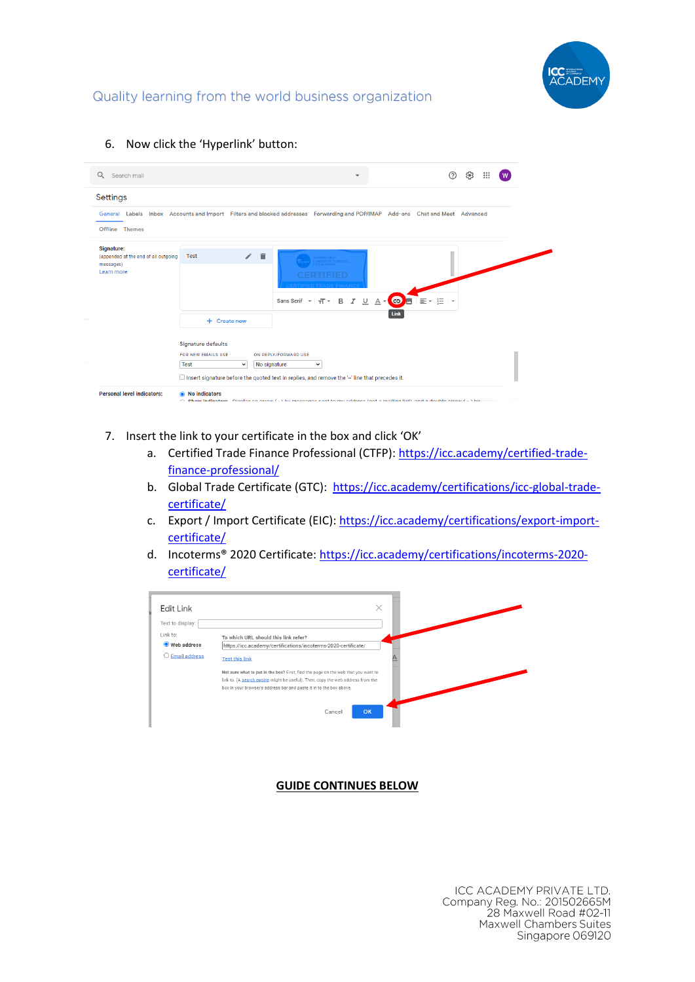

## Quality learning from the world business organization

| Q<br>Search mail                                   | $\mathop{\mathbb{H}}\nolimits$<br>(?<br>છ                                                                                                            |
|----------------------------------------------------|------------------------------------------------------------------------------------------------------------------------------------------------------|
| Settings                                           |                                                                                                                                                      |
|                                                    | General Labels Inbox Accounts and Import Filters and blocked addresses Forwarding and POP/IMAP Add-ons Chat and Meet Advanced                        |
| Offline Themes                                     |                                                                                                                                                      |
| Signature:<br>(appended at the end of all outgoing | ノー目<br>Test                                                                                                                                          |
| messages)<br>Learn more                            |                                                                                                                                                      |
|                                                    | Sans Serif ~<br>$\cup$<br>Ι<br>в<br>A<br>G<br>可。<br>狂<br>٠                                                                                           |
|                                                    | Link<br>+ Create new                                                                                                                                 |
|                                                    | Signature defaults                                                                                                                                   |
|                                                    | <b>FOR NEW EMAILS USE</b><br>ON REPLY/FORWARD USE<br><b>Test</b><br>No signature<br>$\check{~}$<br>$\checkmark$                                      |
|                                                    | $\Box$ Insert signature before the quoted text in replies, and remove the $-$ line that precedes it.                                                 |
| <b>Personal level indicators:</b>                  | <b>No indicators</b><br>◉<br>○ Chaw indiastare Dienlow on orrow ( . ) by moneoneo cont to my oddroon (not o moiling liet) and o double orrow (  ) by |

6. Now click the 'Hyperlink' button:

- 7. Insert the link to your certificate in the box and click 'OK'
	- a. Certified Trade Finance Professional (CTFP)[: https://icc.academy/certified-trade](https://icc.academy/certified-trade-finance-professional/)[finance-professional/](https://icc.academy/certified-trade-finance-professional/)
	- b. Global Trade Certificate (GTC): [https://icc.academy/certifications/icc-global-trade](https://icc.academy/certifications/icc-global-trade-certificate/)[certificate/](https://icc.academy/certifications/icc-global-trade-certificate/)
	- c. Export / Import Certificate (EIC)[: https://icc.academy/certifications/export-import](https://icc.academy/certifications/export-import-certificate/)[certificate/](https://icc.academy/certifications/export-import-certificate/)
	- d. Incoterms® 2020 Certificate[: https://icc.academy/certifications/incoterms-2020](https://icc.academy/certifications/incoterms-2020-certificate/) [certificate/](https://icc.academy/certifications/incoterms-2020-certificate/)



**GUIDE CONTINUES BELOW**